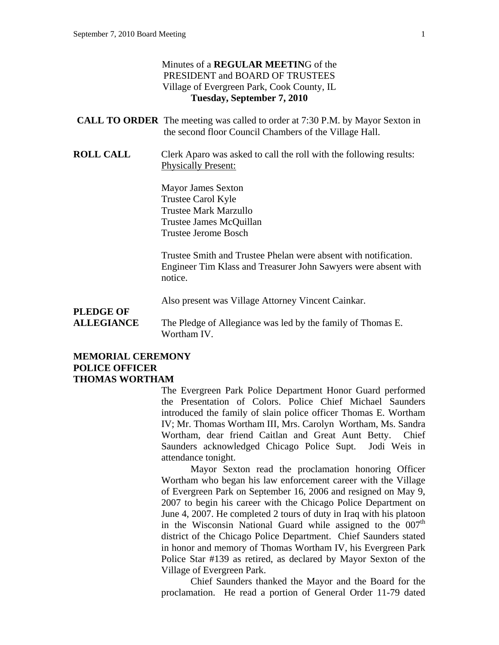#### Minutes of a **REGULAR MEETIN**G of the PRESIDENT and BOARD OF TRUSTEES Village of Evergreen Park, Cook County, IL **Tuesday, September 7, 2010**

| <b>CALL TO ORDER</b> The meeting was called to order at 7:30 P.M. by Mayor Sexton in |
|--------------------------------------------------------------------------------------|
| the second floor Council Chambers of the Village Hall.                               |

**ROLL CALL** Clerk Aparo was asked to call the roll with the following results: Physically Present:

> Mayor James Sexton Trustee Carol Kyle Trustee Mark Marzullo Trustee James McQuillan Trustee Jerome Bosch

Trustee Smith and Trustee Phelan were absent with notification. Engineer Tim Klass and Treasurer John Sawyers were absent with notice.

Also present was Village Attorney Vincent Cainkar.

# **PLEDGE OF**

**ALLEGIANCE** The Pledge of Allegiance was led by the family of Thomas E. Wortham IV.

#### **MEMORIAL CEREMONY POLICE OFFICER THOMAS WORTHAM**

The Evergreen Park Police Department Honor Guard performed the Presentation of Colors. Police Chief Michael Saunders introduced the family of slain police officer Thomas E. Wortham IV; Mr. Thomas Wortham III, Mrs. Carolyn Wortham, Ms. Sandra Wortham, dear friend Caitlan and Great Aunt Betty. Chief Saunders acknowledged Chicago Police Supt. Jodi Weis in attendance tonight.

Mayor Sexton read the proclamation honoring Officer Wortham who began his law enforcement career with the Village of Evergreen Park on September 16, 2006 and resigned on May 9, 2007 to begin his career with the Chicago Police Department on June 4, 2007. He completed 2 tours of duty in Iraq with his platoon in the Wisconsin National Guard while assigned to the  $007<sup>th</sup>$ district of the Chicago Police Department. Chief Saunders stated in honor and memory of Thomas Wortham IV, his Evergreen Park Police Star #139 as retired, as declared by Mayor Sexton of the Village of Evergreen Park.

Chief Saunders thanked the Mayor and the Board for the proclamation. He read a portion of General Order 11-79 dated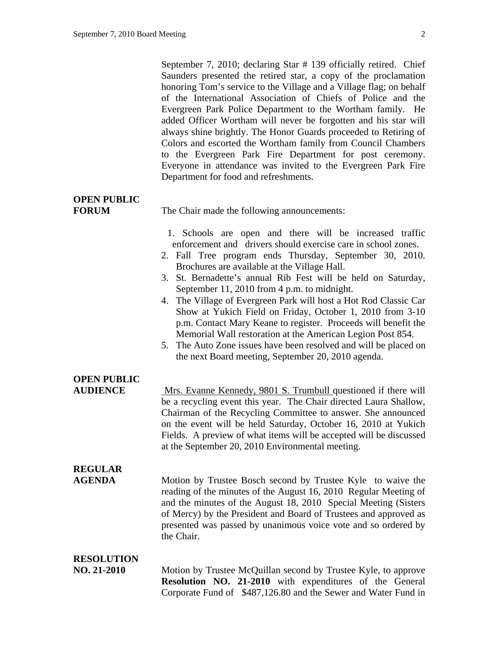September 7, 2010; declaring Star # 139 officially retired. Chief Saunders presented the retired star, a copy of the proclamation honoring Tom's service to the Village and a Village flag; on behalf of the International Association of Chiefs of Police and the Evergreen Park Police Department to the Wortham family. He added Officer Wortham will never be forgotten and his star will always shine brightly. The Honor Guards proceeded to Retiring of Colors and escorted the Wortham family from Council Chambers to the Evergreen Park Fire Department for post ceremony. Everyone in attendance was invited to the Evergreen Park Fire Department for food and refreshments.

| <b>OPEN PUBLIC</b><br><b>FORUM</b>    | The Chair made the following announcements:                                                                                                                                                                                                                                                                                                                                                                                                                                                                                                                                                                                                                                                                                                          |  |
|---------------------------------------|------------------------------------------------------------------------------------------------------------------------------------------------------------------------------------------------------------------------------------------------------------------------------------------------------------------------------------------------------------------------------------------------------------------------------------------------------------------------------------------------------------------------------------------------------------------------------------------------------------------------------------------------------------------------------------------------------------------------------------------------------|--|
|                                       | 1. Schools are open and there will be increased traffic<br>enforcement and drivers should exercise care in school zones.<br>2. Fall Tree program ends Thursday, September 30, 2010.<br>Brochures are available at the Village Hall.<br>St. Bernadette's annual Rib Fest will be held on Saturday,<br>3.<br>September 11, 2010 from 4 p.m. to midnight.<br>The Village of Evergreen Park will host a Hot Rod Classic Car<br>4.<br>Show at Yukich Field on Friday, October 1, 2010 from 3-10<br>p.m. Contact Mary Keane to register. Proceeds will benefit the<br>Memorial Wall restoration at the American Legion Post 854.<br>5. The Auto Zone issues have been resolved and will be placed on<br>the next Board meeting, September 20, 2010 agenda. |  |
| <b>OPEN PUBLIC</b><br><b>AUDIENCE</b> | Mrs. Evanne Kennedy, 9801 S. Trumbull questioned if there will<br>be a recycling event this year. The Chair directed Laura Shallow,<br>Chairman of the Recycling Committee to answer. She announced<br>on the event will be held Saturday, October 16, 2010 at Yukich<br>Fields. A preview of what items will be accepted will be discussed<br>at the September 20, 2010 Environmental meeting.                                                                                                                                                                                                                                                                                                                                                      |  |
| <b>REGULAR</b><br><b>AGENDA</b>       | Motion by Trustee Bosch second by Trustee Kyle to waive the<br>reading of the minutes of the August 16, 2010 Regular Meeting of<br>and the minutes of the August 18, 2010 Special Meeting (Sisters<br>of Mercy) by the President and Board of Trustees and approved as<br>presented was passed by unanimous voice vote and so ordered by<br>the Chair.                                                                                                                                                                                                                                                                                                                                                                                               |  |
| <b>RESOLUTION</b><br>NO. 21-2010      | Motion by Trustee McQuillan second by Trustee Kyle, to approve<br>Resolution NO. 21-2010 with expenditures of the General<br>Corporate Fund of \$487,126.80 and the Sewer and Water Fund in                                                                                                                                                                                                                                                                                                                                                                                                                                                                                                                                                          |  |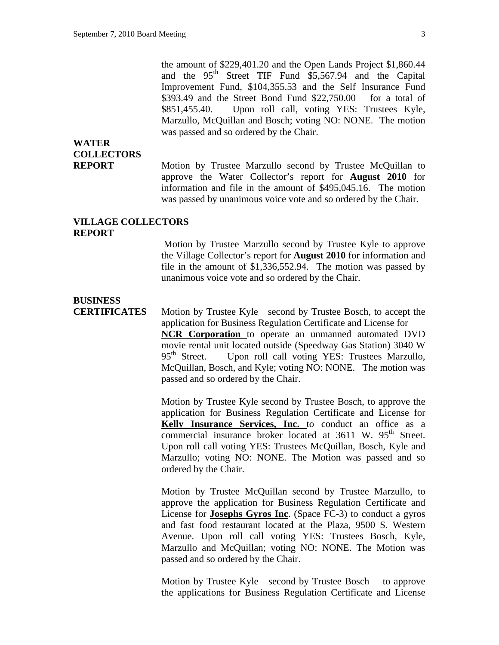the amount of \$229,401.20 and the Open Lands Project \$1,860.44 and the 95<sup>th</sup> Street TIF Fund \$5,567.94 and the Capital Improvement Fund, \$104,355.53 and the Self Insurance Fund \$393.49 and the Street Bond Fund \$22,750.00 for a total of \$851,455.40. Upon roll call, voting YES: Trustees Kyle, Marzullo, McQuillan and Bosch; voting NO: NONE. The motion was passed and so ordered by the Chair.

### **WATER COLLECTORS**

**REPORT** Motion by Trustee Marzullo second by Trustee McQuillan to approve the Water Collector's report for **August 2010** for information and file in the amount of \$495,045.16. The motion was passed by unanimous voice vote and so ordered by the Chair.

#### **VILLAGE COLLECTORS REPORT**

Motion by Trustee Marzullo second by Trustee Kyle to approve the Village Collector's report for **August 2010** for information and file in the amount of \$1,336,552.94. The motion was passed by unanimous voice vote and so ordered by the Chair.

### **BUSINESS**

**CERTIFICATES** Motion by Trustee Kyle second by Trustee Bosch, to accept the application for Business Regulation Certificate and License for **NCR Corporation** to operate an unmanned automated DVD movie rental unit located outside (Speedway Gas Station) 3040 W  $95<sup>th</sup>$  Street. Upon roll call voting YES: Trustees Marzullo, McQuillan, Bosch, and Kyle; voting NO: NONE. The motion was passed and so ordered by the Chair.

> Motion by Trustee Kyle second by Trustee Bosch, to approve the application for Business Regulation Certificate and License for **Kelly Insurance Services, Inc.** to conduct an office as a commercial insurance broker located at 3611 W. 95<sup>th</sup> Street. Upon roll call voting YES: Trustees McQuillan, Bosch, Kyle and Marzullo; voting NO: NONE. The Motion was passed and so ordered by the Chair.

> Motion by Trustee McQuillan second by Trustee Marzullo, to approve the application for Business Regulation Certificate and License for **Josephs Gyros Inc**. (Space FC-3) to conduct a gyros and fast food restaurant located at the Plaza, 9500 S. Western Avenue. Upon roll call voting YES: Trustees Bosch, Kyle, Marzullo and McQuillan; voting NO: NONE. The Motion was passed and so ordered by the Chair.

> Motion by Trustee Kyle second by Trustee Bosch to approve the applications for Business Regulation Certificate and License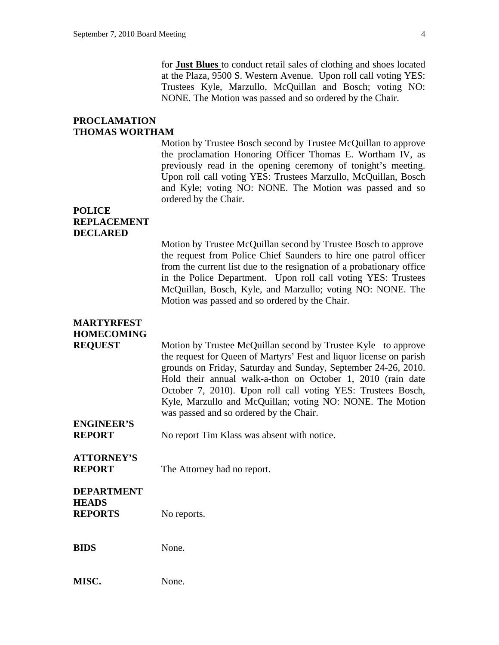for **Just Blues** to conduct retail sales of clothing and shoes located at the Plaza, 9500 S. Western Avenue. Upon roll call voting YES: Trustees Kyle, Marzullo, McQuillan and Bosch; voting NO: NONE. The Motion was passed and so ordered by the Chair.

#### **PROCLAMATION THOMAS WORTHAM**

Motion by Trustee Bosch second by Trustee McQuillan to approve the proclamation Honoring Officer Thomas E. Wortham IV, as previously read in the opening ceremony of tonight's meeting. Upon roll call voting YES: Trustees Marzullo, McQuillan, Bosch and Kyle; voting NO: NONE. The Motion was passed and so ordered by the Chair.

#### **POLICE REPLACEMENT DECLARED**

Motion by Trustee McQuillan second by Trustee Bosch to approve the request from Police Chief Saunders to hire one patrol officer from the current list due to the resignation of a probationary office in the Police Department. Upon roll call voting YES: Trustees McQuillan, Bosch, Kyle, and Marzullo; voting NO: NONE. The Motion was passed and so ordered by the Chair.

#### **MARTYRFEST HOMECOMING**

**REQUEST** Motion by Trustee McQuillan second by Trustee Kyle to approve the request for Queen of Martyrs' Fest and liquor license on parish grounds on Friday, Saturday and Sunday, September 24-26, 2010. Hold their annual walk-a-thon on October 1, 2010 (rain date October 7, 2010). **U**pon roll call voting YES: Trustees Bosch, Kyle, Marzullo and McQuillan; voting NO: NONE. The Motion was passed and so ordered by the Chair.

### **ENGINEER'S**

**REPORT** No report Tim Klass was absent with notice.

## **ATTORNEY'S**

**REPORT** The Attorney had no report.

#### **DEPARTMENT HEADS REPORTS** No reports.

**BIDS** None.

| MISC. | None. |
|-------|-------|
|       |       |